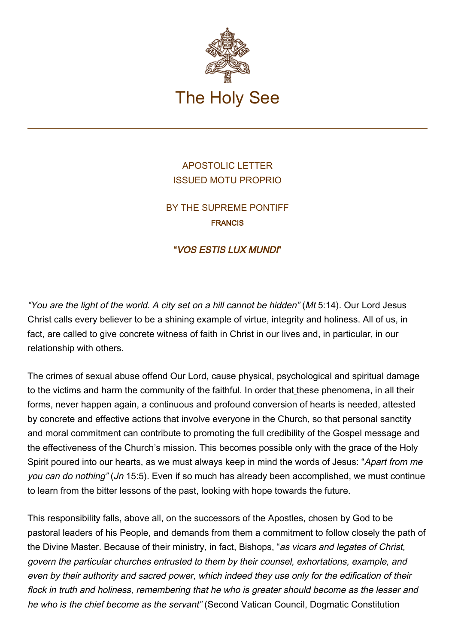

# APOSTOLIC LETTER ISSUED MOTU PROPRIO

BY THE SUPREME PONTIFF FRANCIS

## "VOS ESTIS LUX MUNDI"

"You are the light of the world. A city set on a hill cannot be hidden" (Mt 5:14). Our Lord Jesus Christ calls every believer to be a shining example of virtue, integrity and holiness. All of us, in fact, are called to give concrete witness of faith in Christ in our lives and, in particular, in our relationship with others.

The crimes of sexual abuse offend Our Lord, cause physical, psychological and spiritual damage to the victims and harm the community of the faithful. In order that these phenomena, in all their forms, never happen again, a continuous and profound conversion of hearts is needed, attested by concrete and effective actions that involve everyone in the Church, so that personal sanctity and moral commitment can contribute to promoting the full credibility of the Gospel message and the effectiveness of the Church's mission. This becomes possible only with the grace of the Holy Spirit poured into our hearts, as we must always keep in mind the words of Jesus: "Apart from me you can do nothing" (Jn 15:5). Even if so much has already been accomplished, we must continue to learn from the bitter lessons of the past, looking with hope towards the future.

This responsibility falls, above all, on the successors of the Apostles, chosen by God to be pastoral leaders of his People, and demands from them a commitment to follow closely the path of the Divine Master. Because of their ministry, in fact, Bishops, "as vicars and legates of Christ, govern the particular churches entrusted to them by their counsel, exhortations, example, and even by their authority and sacred power, which indeed they use only for the edification of their flock in truth and holiness, remembering that he who is greater should become as the lesser and he who is the chief become as the servant" (Second Vatican Council, Dogmatic Constitution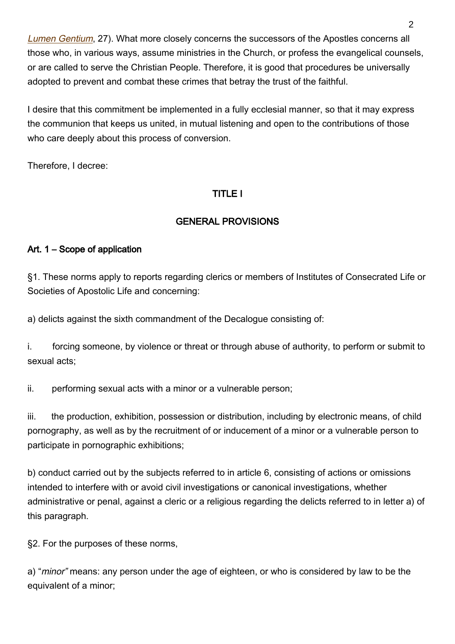[Lumen Gentium](http://www.vatican.va/archive/hist_councils/ii_vatican_council/documents/vat-ii_const_19641121_lumen-gentium_en.html), 27). What more closely concerns the successors of the Apostles concerns all those who, in various ways, assume ministries in the Church, or profess the evangelical counsels, or are called to serve the Christian People. Therefore, it is good that procedures be universally adopted to prevent and combat these crimes that betray the trust of the faithful.

I desire that this commitment be implemented in a fully ecclesial manner, so that it may express the communion that keeps us united, in mutual listening and open to the contributions of those who care deeply about this process of conversion.

Therefore, I decree:

## TITLE I

## GENERAL PROVISIONS

### Art. 1 – Scope of application

§1. These norms apply to reports regarding clerics or members of Institutes of Consecrated Life or Societies of Apostolic Life and concerning:

a) delicts against the sixth commandment of the Decalogue consisting of:

i. forcing someone, by violence or threat or through abuse of authority, to perform or submit to sexual acts;

ii. performing sexual acts with a minor or a vulnerable person;

iii. the production, exhibition, possession or distribution, including by electronic means, of child pornography, as well as by the recruitment of or inducement of a minor or a vulnerable person to participate in pornographic exhibitions;

b) conduct carried out by the subjects referred to in article 6, consisting of actions or omissions intended to interfere with or avoid civil investigations or canonical investigations, whether administrative or penal, against a cleric or a religious regarding the delicts referred to in letter a) of this paragraph.

§2. For the purposes of these norms,

a) "*minor*" means: any person under the age of eighteen, or who is considered by law to be the equivalent of a minor;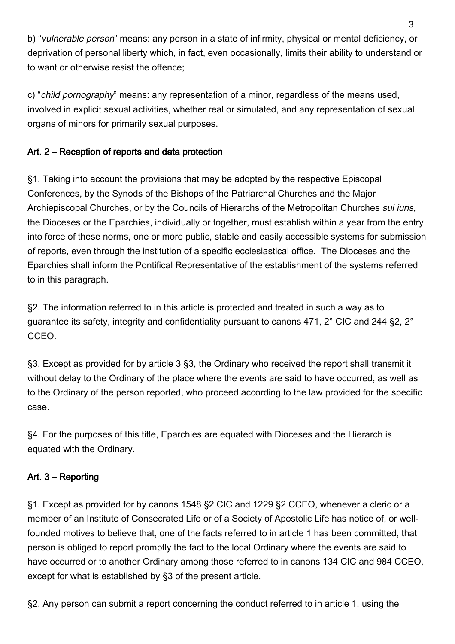b) "vulnerable person" means: any person in a state of infirmity, physical or mental deficiency, or deprivation of personal liberty which, in fact, even occasionally, limits their ability to understand or to want or otherwise resist the offence;

c) "child pornography" means: any representation of a minor, regardless of the means used, involved in explicit sexual activities, whether real or simulated, and any representation of sexual organs of minors for primarily sexual purposes.

# Art. 2 – Reception of reports and data protection

§1. Taking into account the provisions that may be adopted by the respective Episcopal Conferences, by the Synods of the Bishops of the Patriarchal Churches and the Major Archiepiscopal Churches, or by the Councils of Hierarchs of the Metropolitan Churches sui iuris, the Dioceses or the Eparchies, individually or together, must establish within a year from the entry into force of these norms, one or more public, stable and easily accessible systems for submission of reports, even through the institution of a specific ecclesiastical office. The Dioceses and the Eparchies shall inform the Pontifical Representative of the establishment of the systems referred to in this paragraph.

§2. The information referred to in this article is protected and treated in such a way as to guarantee its safety, integrity and confidentiality pursuant to canons 471, 2° CIC and 244 §2, 2° CCEO.

§3. Except as provided for by article 3 §3, the Ordinary who received the report shall transmit it without delay to the Ordinary of the place where the events are said to have occurred, as well as to the Ordinary of the person reported, who proceed according to the law provided for the specific case.

§4. For the purposes of this title, Eparchies are equated with Dioceses and the Hierarch is equated with the Ordinary.

# Art. 3 – Reporting

§1. Except as provided for by canons 1548 §2 CIC and 1229 §2 CCEO, whenever a cleric or a member of an Institute of Consecrated Life or of a Society of Apostolic Life has notice of, or wellfounded motives to believe that, one of the facts referred to in article 1 has been committed, that person is obliged to report promptly the fact to the local Ordinary where the events are said to have occurred or to another Ordinary among those referred to in canons 134 CIC and 984 CCEO, except for what is established by §3 of the present article.

§2. Any person can submit a report concerning the conduct referred to in article 1, using the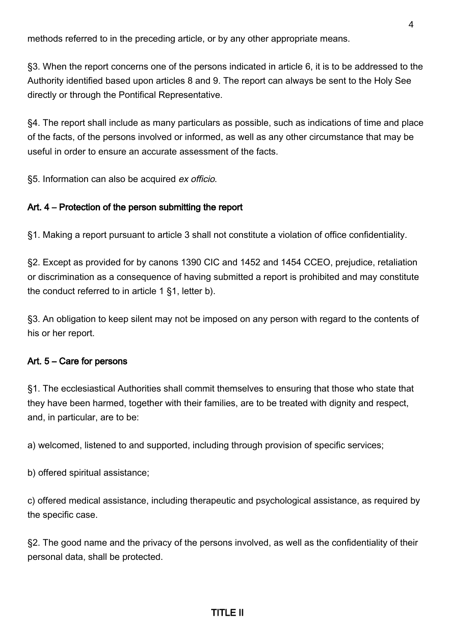methods referred to in the preceding article, or by any other appropriate means.

§3. When the report concerns one of the persons indicated in article 6, it is to be addressed to the Authority identified based upon articles 8 and 9. The report can always be sent to the Holy See directly or through the Pontifical Representative.

§4. The report shall include as many particulars as possible, such as indications of time and place of the facts, of the persons involved or informed, as well as any other circumstance that may be useful in order to ensure an accurate assessment of the facts.

§5. Information can also be acquired ex officio.

#### Art. 4 – Protection of the person submitting the report

§1. Making a report pursuant to article 3 shall not constitute a violation of office confidentiality.

§2. Except as provided for by canons 1390 CIC and 1452 and 1454 CCEO, prejudice, retaliation or discrimination as a consequence of having submitted a report is prohibited and may constitute the conduct referred to in article 1 §1, letter b).

§3. An obligation to keep silent may not be imposed on any person with regard to the contents of his or her report.

### Art. 5 – Care for persons

§1. The ecclesiastical Authorities shall commit themselves to ensuring that those who state that they have been harmed, together with their families, are to be treated with dignity and respect, and, in particular, are to be:

a) welcomed, listened to and supported, including through provision of specific services;

b) offered spiritual assistance;

c) offered medical assistance, including therapeutic and psychological assistance, as required by the specific case.

§2. The good name and the privacy of the persons involved, as well as the confidentiality of their personal data, shall be protected.

### TITLE II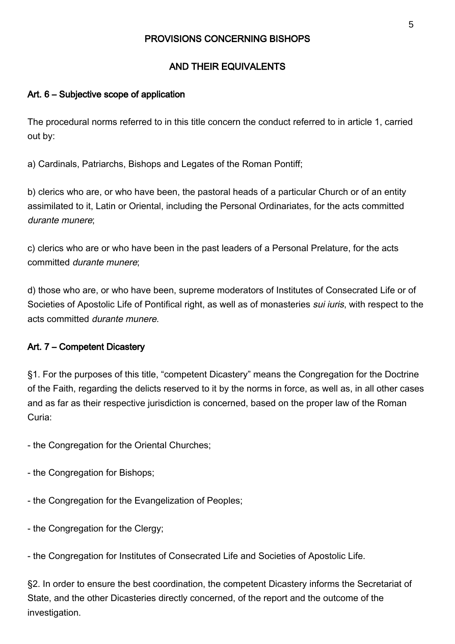### PROVISIONS CONCERNING BISHOPS

### AND THEIR EQUIVALENTS

### Art. 6 – Subjective scope of application

The procedural norms referred to in this title concern the conduct referred to in article 1, carried out by:

a) Cardinals, Patriarchs, Bishops and Legates of the Roman Pontiff;

b) clerics who are, or who have been, the pastoral heads of a particular Church or of an entity assimilated to it, Latin or Oriental, including the Personal Ordinariates, for the acts committed durante munere;

c) clerics who are or who have been in the past leaders of a Personal Prelature, for the acts committed durante munere;

d) those who are, or who have been, supreme moderators of Institutes of Consecrated Life or of Societies of Apostolic Life of Pontifical right, as well as of monasteries sui iuris, with respect to the acts committed durante munere.

### Art. 7 – Competent Dicastery

§1. For the purposes of this title, "competent Dicastery" means the Congregation for the Doctrine of the Faith, regarding the delicts reserved to it by the norms in force, as well as, in all other cases and as far as their respective jurisdiction is concerned, based on the proper law of the Roman Curia:

- the Congregation for the Oriental Churches;

- the Congregation for Bishops;
- the Congregation for the Evangelization of Peoples;
- the Congregation for the Clergy;

- the Congregation for Institutes of Consecrated Life and Societies of Apostolic Life.

§2. In order to ensure the best coordination, the competent Dicastery informs the Secretariat of State, and the other Dicasteries directly concerned, of the report and the outcome of the investigation.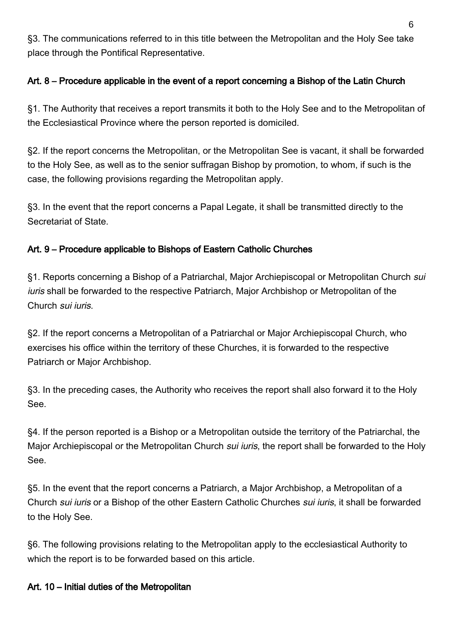§3. The communications referred to in this title between the Metropolitan and the Holy See take place through the Pontifical Representative.

# Art. 8 – Procedure applicable in the event of a report concerning a Bishop of the Latin Church

§1. The Authority that receives a report transmits it both to the Holy See and to the Metropolitan of the Ecclesiastical Province where the person reported is domiciled.

§2. If the report concerns the Metropolitan, or the Metropolitan See is vacant, it shall be forwarded to the Holy See, as well as to the senior suffragan Bishop by promotion, to whom, if such is the case, the following provisions regarding the Metropolitan apply.

§3. In the event that the report concerns a Papal Legate, it shall be transmitted directly to the Secretariat of State.

## Art. 9 – Procedure applicable to Bishops of Eastern Catholic Churches

§1. Reports concerning a Bishop of a Patriarchal, Major Archiepiscopal or Metropolitan Church sui iuris shall be forwarded to the respective Patriarch, Major Archbishop or Metropolitan of the Church sui iuris.

§2. If the report concerns a Metropolitan of a Patriarchal or Major Archiepiscopal Church, who exercises his office within the territory of these Churches, it is forwarded to the respective Patriarch or Major Archbishop.

§3. In the preceding cases, the Authority who receives the report shall also forward it to the Holy See.

§4. If the person reported is a Bishop or a Metropolitan outside the territory of the Patriarchal, the Major Archiepiscopal or the Metropolitan Church *sui iuris*, the report shall be forwarded to the Holy See.

§5. In the event that the report concerns a Patriarch, a Major Archbishop, a Metropolitan of a Church sui iuris or a Bishop of the other Eastern Catholic Churches sui iuris, it shall be forwarded to the Holy See.

§6. The following provisions relating to the Metropolitan apply to the ecclesiastical Authority to which the report is to be forwarded based on this article.

## Art. 10 – Initial duties of the Metropolitan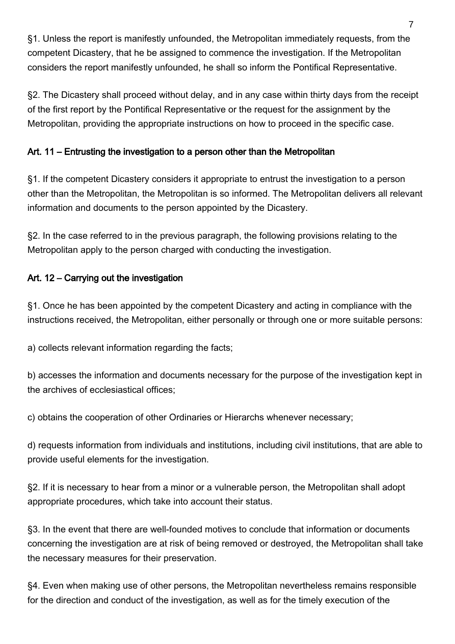§1. Unless the report is manifestly unfounded, the Metropolitan immediately requests, from the competent Dicastery, that he be assigned to commence the investigation. If the Metropolitan considers the report manifestly unfounded, he shall so inform the Pontifical Representative.

§2. The Dicastery shall proceed without delay, and in any case within thirty days from the receipt of the first report by the Pontifical Representative or the request for the assignment by the Metropolitan, providing the appropriate instructions on how to proceed in the specific case.

## Art. 11 – Entrusting the investigation to a person other than the Metropolitan

§1. If the competent Dicastery considers it appropriate to entrust the investigation to a person other than the Metropolitan, the Metropolitan is so informed. The Metropolitan delivers all relevant information and documents to the person appointed by the Dicastery.

§2. In the case referred to in the previous paragraph, the following provisions relating to the Metropolitan apply to the person charged with conducting the investigation.

## Art. 12 – Carrying out the investigation

§1. Once he has been appointed by the competent Dicastery and acting in compliance with the instructions received, the Metropolitan, either personally or through one or more suitable persons:

a) collects relevant information regarding the facts;

b) accesses the information and documents necessary for the purpose of the investigation kept in the archives of ecclesiastical offices;

c) obtains the cooperation of other Ordinaries or Hierarchs whenever necessary;

d) requests information from individuals and institutions, including civil institutions, that are able to provide useful elements for the investigation.

§2. If it is necessary to hear from a minor or a vulnerable person, the Metropolitan shall adopt appropriate procedures, which take into account their status.

§3. In the event that there are well-founded motives to conclude that information or documents concerning the investigation are at risk of being removed or destroyed, the Metropolitan shall take the necessary measures for their preservation.

§4. Even when making use of other persons, the Metropolitan nevertheless remains responsible for the direction and conduct of the investigation, as well as for the timely execution of the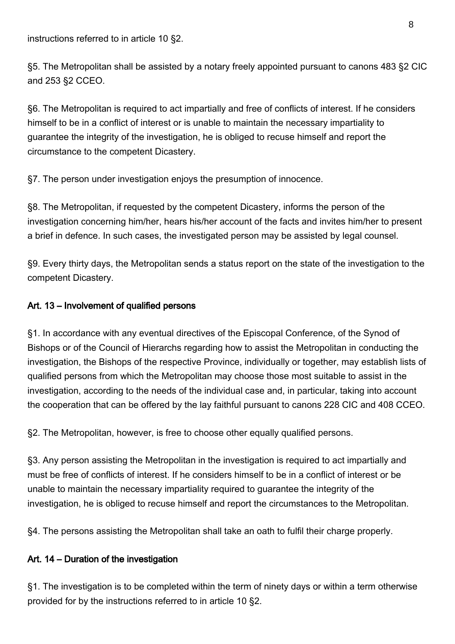instructions referred to in article 10 §2.

§5. The Metropolitan shall be assisted by a notary freely appointed pursuant to canons 483 §2 CIC and 253 §2 CCEO.

§6. The Metropolitan is required to act impartially and free of conflicts of interest. If he considers himself to be in a conflict of interest or is unable to maintain the necessary impartiality to guarantee the integrity of the investigation, he is obliged to recuse himself and report the circumstance to the competent Dicastery.

§7. The person under investigation enjoys the presumption of innocence.

§8. The Metropolitan, if requested by the competent Dicastery, informs the person of the investigation concerning him/her, hears his/her account of the facts and invites him/her to present a brief in defence. In such cases, the investigated person may be assisted by legal counsel.

§9. Every thirty days, the Metropolitan sends a status report on the state of the investigation to the competent Dicastery.

#### Art. 13 – Involvement of qualified persons

§1. In accordance with any eventual directives of the Episcopal Conference, of the Synod of Bishops or of the Council of Hierarchs regarding how to assist the Metropolitan in conducting the investigation, the Bishops of the respective Province, individually or together, may establish lists of qualified persons from which the Metropolitan may choose those most suitable to assist in the investigation, according to the needs of the individual case and, in particular, taking into account the cooperation that can be offered by the lay faithful pursuant to canons 228 CIC and 408 CCEO.

§2. The Metropolitan, however, is free to choose other equally qualified persons.

§3. Any person assisting the Metropolitan in the investigation is required to act impartially and must be free of conflicts of interest. If he considers himself to be in a conflict of interest or be unable to maintain the necessary impartiality required to guarantee the integrity of the investigation, he is obliged to recuse himself and report the circumstances to the Metropolitan.

§4. The persons assisting the Metropolitan shall take an oath to fulfil their charge properly.

### Art. 14 – Duration of the investigation

§1. The investigation is to be completed within the term of ninety days or within a term otherwise provided for by the instructions referred to in article 10 §2.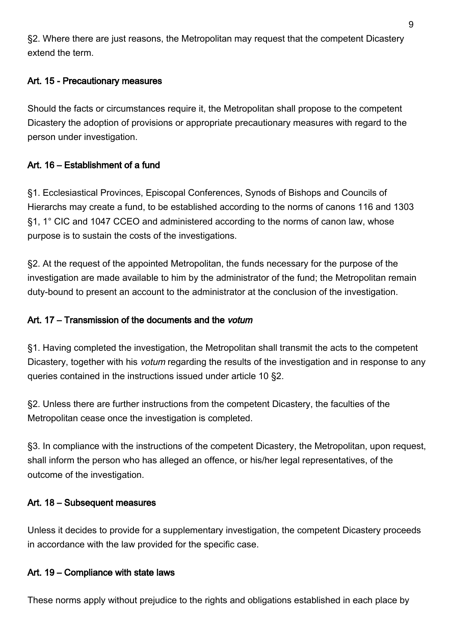§2. Where there are just reasons, the Metropolitan may request that the competent Dicastery extend the term.

### Art. 15 - Precautionary measures

Should the facts or circumstances require it, the Metropolitan shall propose to the competent Dicastery the adoption of provisions or appropriate precautionary measures with regard to the person under investigation.

### Art. 16 – Establishment of a fund

§1. Ecclesiastical Provinces, Episcopal Conferences, Synods of Bishops and Councils of Hierarchs may create a fund, to be established according to the norms of canons 116 and 1303 §1, 1° CIC and 1047 CCEO and administered according to the norms of canon law, whose purpose is to sustain the costs of the investigations.

§2. At the request of the appointed Metropolitan, the funds necessary for the purpose of the investigation are made available to him by the administrator of the fund; the Metropolitan remain duty-bound to present an account to the administrator at the conclusion of the investigation.

### Art. 17 – Transmission of the documents and the *votum*

§1. Having completed the investigation, the Metropolitan shall transmit the acts to the competent Dicastery, together with his *votum* regarding the results of the investigation and in response to any queries contained in the instructions issued under article 10 §2.

§2. Unless there are further instructions from the competent Dicastery, the faculties of the Metropolitan cease once the investigation is completed.

§3. In compliance with the instructions of the competent Dicastery, the Metropolitan, upon request, shall inform the person who has alleged an offence, or his/her legal representatives, of the outcome of the investigation.

### Art. 18 – Subsequent measures

Unless it decides to provide for a supplementary investigation, the competent Dicastery proceeds in accordance with the law provided for the specific case.

### Art. 19 – Compliance with state laws

These norms apply without prejudice to the rights and obligations established in each place by